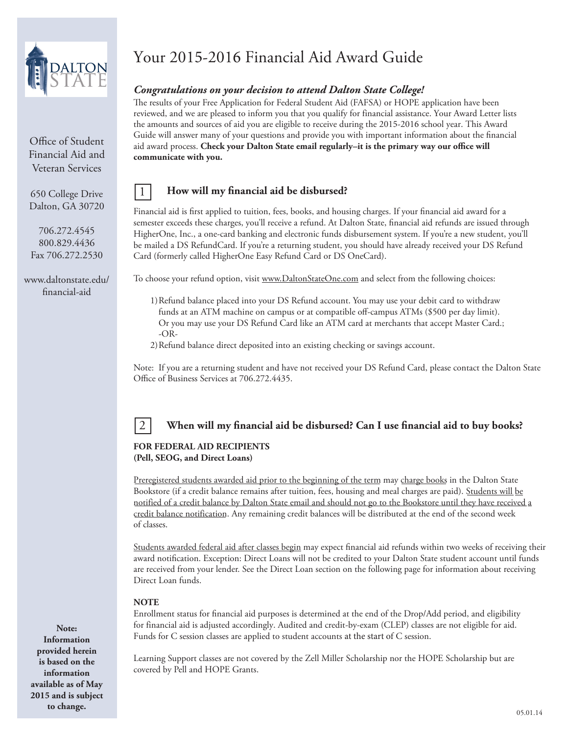

Office of Student Financial Aid and Veteran Services

650 College Drive Dalton, GA 30720

706.272.4545 800.829.4436 Fax 706.272.2530

www.daltonstate.edu/ financial-aid

# Your 2015-2016 Financial Aid Award Guide

# *Congratulations on your decision to attend Dalton State College!*

The results of your Free Application for Federal Student Aid (FAFSA) or HOPE application have been reviewed, and we are pleased to inform you that you qualify for financial assistance. Your Award Letter lists the amounts and sources of aid you are eligible to receive during the 2015-2016 school year. This Award Guide will answer many of your questions and provide you with important information about the financial aid award process. **Check your Dalton State email regularly–it is the primary way our office will communicate with you.**

### 1 **How will my financial aid be disbursed?**

Financial aid is first applied to tuition, fees, books, and housing charges. If your financial aid award for a semester exceeds these charges, you'll receive a refund. At Dalton State, financial aid refunds are issued through HigherOne, Inc., a one-card banking and electronic funds disbursement system. If you're a new student, you'll be mailed a DS RefundCard. If you're a returning student, you should have already received your DS Refund Card (formerly called HigherOne Easy Refund Card or DS OneCard).

To choose your refund option, visit www.DaltonStateOne.com and select from the following choices:

- 1)Refund balance placed into your DS Refund account. You may use your debit card to withdraw funds at an ATM machine on campus or at compatible off-campus ATMs (\$500 per day limit). Or you may use your DS Refund Card like an ATM card at merchants that accept Master Card.; -OR-
- 2)Refund balance direct deposited into an existing checking or savings account.

Note: If you are a returning student and have not received your DS Refund Card, please contact the Dalton State Office of Business Services at 706.272.4435.



# 2 **When will my financial aid be disbursed? Can I use financial aid to buy books?**

### **FOR FEDERAL AID RECIPIENTS (Pell, SEOG, and Direct Loans)**

Preregistered students awarded aid prior to the beginning of the term may charge books in the Dalton State Bookstore (if a credit balance remains after tuition, fees, housing and meal charges are paid). Students will be notified of a credit balance by Dalton State email and should not go to the Bookstore until they have received a credit balance notification. Any remaining credit balances will be distributed at the end of the second week of classes.

Students awarded federal aid after classes begin may expect financial aid refunds within two weeks of receiving their award notification. Exception: Direct Loans will not be credited to your Dalton State student account until funds are received from your lender. See the Direct Loan section on the following page for information about receiving Direct Loan funds.

### **NOTE**

Enrollment status for financial aid purposes is determined at the end of the Drop/Add period, and eligibility for financial aid is adjusted accordingly. Audited and credit-by-exam (CLEP) classes are not eligible for aid. Funds for C session classes are applied to student accounts at the start of C session.

Learning Support classes are not covered by the Zell Miller Scholarship nor the HOPE Scholarship but are covered by Pell and HOPE Grants.

**Note: Information provided herein is based on the information available as of May 2015 and is subject to change.**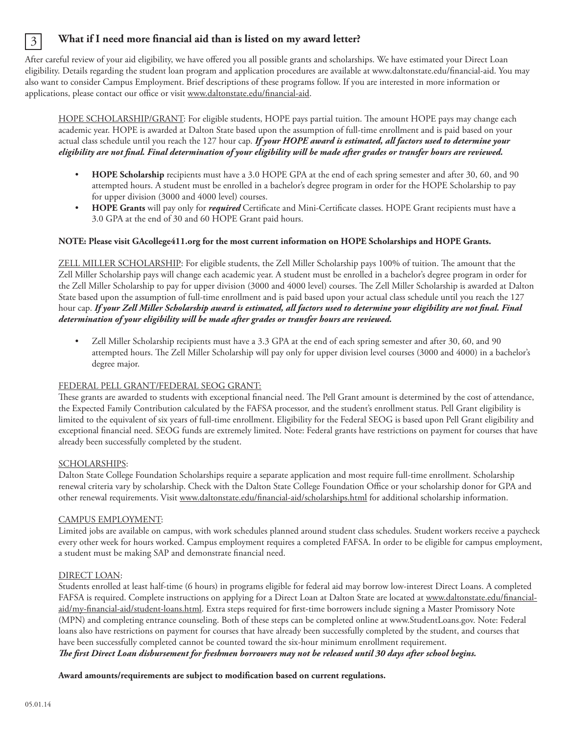# 3 **What if I need more financial aid than is listed on my award letter?**

After careful review of your aid eligibility, we have offered you all possible grants and scholarships. We have estimated your Direct Loan eligibility. Details regarding the student loan program and application procedures are available at www.daltonstate.edu/financial-aid. You may also want to consider Campus Employment. Brief descriptions of these programs follow. If you are interested in more information or applications, please contact our office or visit www.daltonstate.edu/financial-aid.

HOPE SCHOLARSHIP/GRANT: For eligible students, HOPE pays partial tuition. The amount HOPE pays may change each academic year. HOPE is awarded at Dalton State based upon the assumption of full-time enrollment and is paid based on your actual class schedule until you reach the 127 hour cap. *If your HOPE award is estimated, all factors used to determine your eligibility are not final. Final determination of your eligibility will be made after grades or transfer hours are reviewed.*

- **HOPE Scholarship** recipients must have a 3.0 HOPE GPA at the end of each spring semester and after 30, 60, and 90 attempted hours. A student must be enrolled in a bachelor's degree program in order for the HOPE Scholarship to pay for upper division (3000 and 4000 level) courses.
- **HOPE Grants** will pay only for *required* Certificate and Mini-Certificate classes. HOPE Grant recipients must have a 3.0 GPA at the end of 30 and 60 HOPE Grant paid hours.

### **NOTE: Please visit GAcollege411.org for the most current information on HOPE Scholarships and HOPE Grants.**

ZELL MILLER SCHOLARSHIP: For eligible students, the Zell Miller Scholarship pays 100% of tuition. The amount that the Zell Miller Scholarship pays will change each academic year. A student must be enrolled in a bachelor's degree program in order for the Zell Miller Scholarship to pay for upper division (3000 and 4000 level) courses. The Zell Miller Scholarship is awarded at Dalton State based upon the assumption of full-time enrollment and is paid based upon your actual class schedule until you reach the 127 hour cap. *If your Zell Miller Scholarship award is estimated, all factors used to determine your eligibility are not final. Final determination of your eligibility will be made after grades or transfer hours are reviewed.*

• Zell Miller Scholarship recipients must have a 3.3 GPA at the end of each spring semester and after 30, 60, and 90 attempted hours. The Zell Miller Scholarship will pay only for upper division level courses (3000 and 4000) in a bachelor's degree major.

### FEDERAL PELL GRANT/FEDERAL SEOG GRANT:

These grants are awarded to students with exceptional financial need. The Pell Grant amount is determined by the cost of attendance, the Expected Family Contribution calculated by the FAFSA processor, and the student's enrollment status. Pell Grant eligibility is limited to the equivalent of six years of full-time enrollment. Eligibility for the Federal SEOG is based upon Pell Grant eligibility and exceptional financial need. SEOG funds are extremely limited. Note: Federal grants have restrictions on payment for courses that have already been successfully completed by the student.

### SCHOLARSHIPS:

Dalton State College Foundation Scholarships require a separate application and most require full-time enrollment. Scholarship renewal criteria vary by scholarship. Check with the Dalton State College Foundation Office or your scholarship donor for GPA and other renewal requirements. Visit www.daltonstate.edu/financial-aid/scholarships.html for additional scholarship information.

### CAMPUS EMPLOYMENT:

Limited jobs are available on campus, with work schedules planned around student class schedules. Student workers receive a paycheck every other week for hours worked. Campus employment requires a completed FAFSA. In order to be eligible for campus employment, a student must be making SAP and demonstrate financial need.

### DIRECT LOAN:

Students enrolled at least half-time (6 hours) in programs eligible for federal aid may borrow low-interest Direct Loans. A completed FAFSA is required. Complete instructions on applying for a Direct Loan at Dalton State are located at www.daltonstate.edu/financialaid/my-financial-aid/student-loans.html. Extra steps required for first-time borrowers include signing a Master Promissory Note (MPN) and completing entrance counseling. Both of these steps can be completed online at www.StudentLoans.gov. Note: Federal loans also have restrictions on payment for courses that have already been successfully completed by the student, and courses that have been successfully completed cannot be counted toward the six-hour minimum enrollment requirement. *The first Direct Loan disbursement for freshmen borrowers may not be released until 30 days after school begins.*

### **Award amounts/requirements are subject to modification based on current regulations.**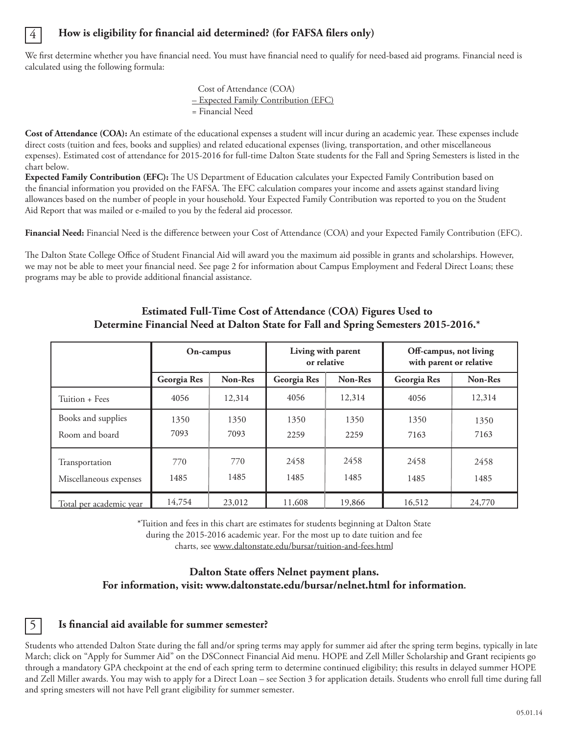### **How is eligibility for financial aid determined? (for FAFSA filers only)**

4

We first determine whether you have financial need. You must have financial need to qualify for need-based aid programs. Financial need is calculated using the following formula:

> Cost of Attendance (COA) – Expected Family Contribution (EFC) = Financial Need

**Cost of Attendance (COA):** An estimate of the educational expenses a student will incur during an academic year. These expenses include direct costs (tuition and fees, books and supplies) and related educational expenses (living, transportation, and other miscellaneous expenses). Estimated cost of attendance for 2015-2016 for full-time Dalton State students for the Fall and Spring Semesters is listed in the chart below.

**Expected Family Contribution (EFC):** The US Department of Education calculates your Expected Family Contribution based on the financial information you provided on the FAFSA. The EFC calculation compares your income and assets against standard living allowances based on the number of people in your household. Your Expected Family Contribution was reported to you on the Student Aid Report that was mailed or e-mailed to you by the federal aid processor.

**Financial Need:** Financial Need is the difference between your Cost of Attendance (COA) and your Expected Family Contribution (EFC).

The Dalton State College Office of Student Financial Aid will award you the maximum aid possible in grants and scholarships. However, we may not be able to meet your financial need. See page 2 for information about Campus Employment and Federal Direct Loans; these programs may be able to provide additional financial assistance.

|                                          | On-campus    |              | Living with parent<br>or relative |              | Off-campus, not living<br>with parent or relative |              |
|------------------------------------------|--------------|--------------|-----------------------------------|--------------|---------------------------------------------------|--------------|
|                                          | Georgia Res  | Non-Res      | Georgia Res                       | Non-Res      | Georgia Res                                       | Non-Res      |
| Tuition + Fees                           | 4056         | 12,314       | 4056                              | 12,314       | 4056                                              | 12,314       |
| Books and supplies<br>Room and board     | 1350<br>7093 | 1350<br>7093 | 1350<br>2259                      | 1350<br>2259 | 1350<br>7163                                      | 1350<br>7163 |
| Transportation<br>Miscellaneous expenses | 770<br>1485  | 770<br>1485  | 2458<br>1485                      | 2458<br>1485 | 2458<br>1485                                      | 2458<br>1485 |
| Total per academic year                  | 14,754       | 23,012       | 11,608                            | 19,866       | 16,512                                            | 24,770       |

# **Estimated Full-Time Cost of Attendance (COA) Figures Used to Determine Financial Need at Dalton State for Fall and Spring Semesters 2015-2016.\***

\*Tuition and fees in this chart are estimates for students beginning at Dalton State during the 2015-2016 academic year. For the most up to date tuition and fee charts, see www.daltonstate.edu/bursar/tuition-and-fees.html

### **Dalton State offers Nelnet payment plans. For information, visit: www.daltonstate.edu/bursar/nelnet.html for information.**

### 5 **Is financial aid available for summer semester?**

Students who attended Dalton State during the fall and/or spring terms may apply for summer aid after the spring term begins, typically in late March; click on "Apply for Summer Aid" on the DSConnect Financial Aid menu. HOPE and Zell Miller Scholarship and Grant recipients go through a mandatory GPA checkpoint at the end of each spring term to determine continued eligibility; this results in delayed summer HOPE and Zell Miller awards. You may wish to apply for a Direct Loan – see Section 3 for application details. Students who enroll full time during fall and spring smesters will not have Pell grant eligibility for summer semester.